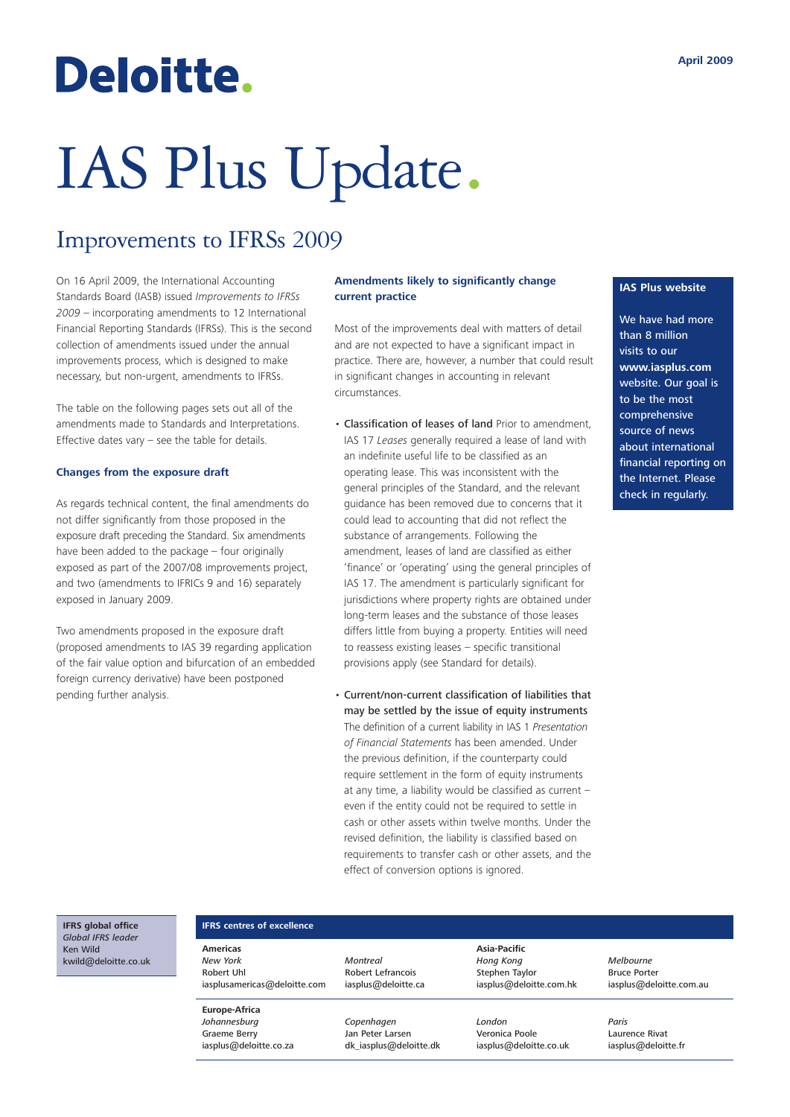# Deloitte.

# IAS Plus Update.

# Improvements to IFRSs 2009

On 16 April 2009, the International Accounting Standards Board (IASB) issued *Improvements to IFRSs 2009* – incorporating amendments to 12 International Financial Reporting Standards (IFRSs). This is the second collection of amendments issued under the annual improvements process, which is designed to make necessary, but non-urgent, amendments to IFRSs.

The table on the following pages sets out all of the amendments made to Standards and Interpretations. Effective dates vary – see the table for details.

#### **Changes from the exposure draft**

As regards technical content, the final amendments do not differ significantly from those proposed in the exposure draft preceding the Standard. Six amendments have been added to the package – four originally exposed as part of the 2007/08 improvements project, and two (amendments to IFRICs 9 and 16) separately exposed in January 2009.

Two amendments proposed in the exposure draft (proposed amendments to IAS 39 regarding application of the fair value option and bifurcation of an embedded foreign currency derivative) have been postponed pending further analysis.

#### **Amendments likely to significantly change current practice**

Most of the improvements deal with matters of detail and are not expected to have a significant impact in practice. There are, however, a number that could result in significant changes in accounting in relevant circumstances.

- Classification of leases of land Prior to amendment, IAS 17 *Leases* generally required a lease of land with an indefinite useful life to be classified as an operating lease. This was inconsistent with the general principles of the Standard, and the relevant guidance has been removed due to concerns that it could lead to accounting that did not reflect the substance of arrangements. Following the amendment, leases of land are classified as either 'finance' or 'operating' using the general principles of IAS 17. The amendment is particularly significant for jurisdictions where property rights are obtained under long-term leases and the substance of those leases differs little from buying a property. Entities will need to reassess existing leases – specific transitional provisions apply (see Standard for details).
- Current/non-current classification of liabilities that may be settled by the issue of equity instruments The definition of a current liability in IAS 1 *Presentation of Financial Statements* has been amended. Under the previous definition, if the counterparty could require settlement in the form of equity instruments at any time, a liability would be classified as current – even if the entity could not be required to settle in cash or other assets within twelve months. Under the revised definition, the liability is classified based on requirements to transfer cash or other assets, and the effect of conversion options is ignored.

#### **IAS Plus website**

We have had more than 8 million visits to our **www.iasplus.com** website. Our goal is to be the most comprehensive source of news about international financial reporting on the Internet. Please check in regularly.

#### **IFRS global office** *Global IFRS leader* Ken Wild kwild@deloitte.co.uk

#### **IFRS centres of excellence**

**Americas** *New York* Robert Uhl iasplusamericas@deloitte.com

**Europe-Africa** *Johannesburg* Graeme Berry iasplus@deloitte.co.za *Montreal* Robert Lefrancois iasplus@deloitte.ca

> *Copenhagen* Jan Peter Larsen dk\_iasplus@deloitte.dk

**Asia-Pacific** *Hong Kong* Stephen Taylor iasplus@deloitte.com.hk

*London* Veronica Poole iasplus@deloitte.co.uk *Melbourne* Bruce Porter iasplus@deloitte.com.au

*Paris* Laurence Rivat iasplus@deloitte.fr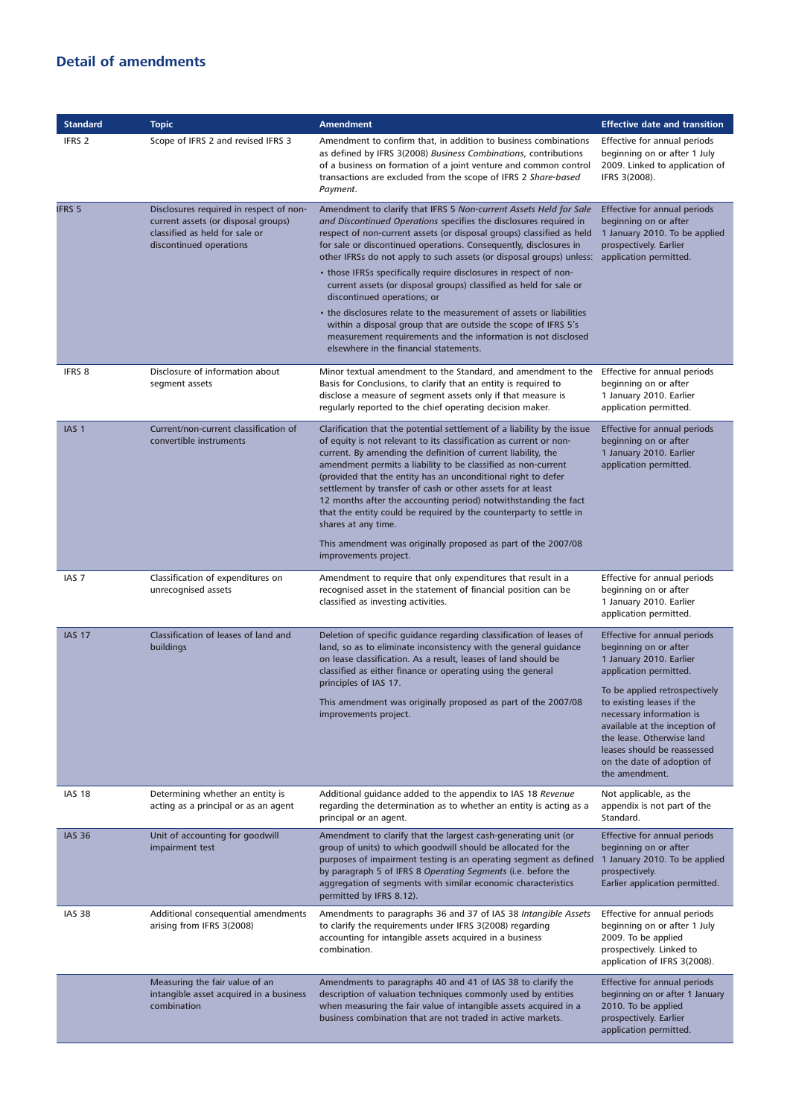### **Detail of amendments**

| <b>Standard</b>   | <b>Topic</b>                                                                                                                                | <b>Amendment</b>                                                                                                                                                                                                                                                                                                                                                                                                                                                                                                                                                                | <b>Effective date and transition</b>                                                                                                                                                                                                |
|-------------------|---------------------------------------------------------------------------------------------------------------------------------------------|---------------------------------------------------------------------------------------------------------------------------------------------------------------------------------------------------------------------------------------------------------------------------------------------------------------------------------------------------------------------------------------------------------------------------------------------------------------------------------------------------------------------------------------------------------------------------------|-------------------------------------------------------------------------------------------------------------------------------------------------------------------------------------------------------------------------------------|
| IFRS <sub>2</sub> | Scope of IFRS 2 and revised IFRS 3                                                                                                          | Amendment to confirm that, in addition to business combinations<br>as defined by IFRS 3(2008) Business Combinations, contributions<br>of a business on formation of a joint venture and common control<br>transactions are excluded from the scope of IFRS 2 Share-based<br>Payment.                                                                                                                                                                                                                                                                                            | Effective for annual periods<br>beginning on or after 1 July<br>2009. Linked to application of<br>IFRS 3(2008).                                                                                                                     |
| <b>IFRS 5</b>     | Disclosures required in respect of non-<br>current assets (or disposal groups)<br>classified as held for sale or<br>discontinued operations | Amendment to clarify that IFRS 5 Non-current Assets Held for Sale<br>and Discontinued Operations specifies the disclosures required in<br>respect of non-current assets (or disposal groups) classified as held<br>for sale or discontinued operations. Consequently, disclosures in<br>other IFRSs do not apply to such assets (or disposal groups) unless:                                                                                                                                                                                                                    | <b>Effective for annual periods</b><br>beginning on or after<br>1 January 2010. To be applied<br>prospectively. Earlier<br>application permitted.                                                                                   |
|                   |                                                                                                                                             | • those IFRSs specifically require disclosures in respect of non-<br>current assets (or disposal groups) classified as held for sale or<br>discontinued operations; or                                                                                                                                                                                                                                                                                                                                                                                                          |                                                                                                                                                                                                                                     |
|                   |                                                                                                                                             | • the disclosures relate to the measurement of assets or liabilities<br>within a disposal group that are outside the scope of IFRS 5's<br>measurement requirements and the information is not disclosed<br>elsewhere in the financial statements.                                                                                                                                                                                                                                                                                                                               |                                                                                                                                                                                                                                     |
| IFRS 8            | Disclosure of information about<br>segment assets                                                                                           | Minor textual amendment to the Standard, and amendment to the<br>Basis for Conclusions, to clarify that an entity is required to<br>disclose a measure of segment assets only if that measure is<br>regularly reported to the chief operating decision maker.                                                                                                                                                                                                                                                                                                                   | Effective for annual periods<br>beginning on or after<br>1 January 2010. Earlier<br>application permitted.                                                                                                                          |
| IAS <sub>1</sub>  | Current/non-current classification of<br>convertible instruments                                                                            | Clarification that the potential settlement of a liability by the issue<br>of equity is not relevant to its classification as current or non-<br>current. By amending the definition of current liability, the<br>amendment permits a liability to be classified as non-current<br>(provided that the entity has an unconditional right to defer<br>settlement by transfer of cash or other assets for at least<br>12 months after the accounting period) notwithstanding the fact<br>that the entity could be required by the counterparty to settle in<br>shares at any time. | <b>Effective for annual periods</b><br>beginning on or after<br>1 January 2010. Earlier<br>application permitted.                                                                                                                   |
|                   |                                                                                                                                             | This amendment was originally proposed as part of the 2007/08<br>improvements project.                                                                                                                                                                                                                                                                                                                                                                                                                                                                                          |                                                                                                                                                                                                                                     |
| IAS <sub>7</sub>  | Classification of expenditures on<br>unrecognised assets                                                                                    | Amendment to require that only expenditures that result in a<br>recognised asset in the statement of financial position can be<br>classified as investing activities.                                                                                                                                                                                                                                                                                                                                                                                                           | Effective for annual periods<br>beginning on or after<br>1 January 2010. Earlier<br>application permitted.                                                                                                                          |
| <b>IAS 17</b>     | Classification of leases of land and<br>buildings                                                                                           | Deletion of specific guidance regarding classification of leases of<br>land, so as to eliminate inconsistency with the general guidance<br>on lease classification. As a result, leases of land should be<br>classified as either finance or operating using the general                                                                                                                                                                                                                                                                                                        | <b>Effective for annual periods</b><br>beginning on or after<br>1 January 2010. Earlier<br>application permitted.                                                                                                                   |
|                   |                                                                                                                                             | principles of IAS 17.<br>This amendment was originally proposed as part of the 2007/08<br>improvements project.                                                                                                                                                                                                                                                                                                                                                                                                                                                                 | To be applied retrospectively<br>to existing leases if the<br>necessary information is<br>available at the inception of<br>the lease. Otherwise land<br>leases should be reassessed<br>on the date of adoption of<br>the amendment. |
| <b>IAS 18</b>     | Determining whether an entity is<br>acting as a principal or as an agent                                                                    | Additional guidance added to the appendix to IAS 18 Revenue<br>regarding the determination as to whether an entity is acting as a<br>principal or an agent.                                                                                                                                                                                                                                                                                                                                                                                                                     | Not applicable, as the<br>appendix is not part of the<br>Standard.                                                                                                                                                                  |
| <b>IAS 36</b>     | Unit of accounting for goodwill<br>impairment test                                                                                          | Amendment to clarify that the largest cash-generating unit (or<br>group of units) to which goodwill should be allocated for the<br>purposes of impairment testing is an operating segment as defined<br>by paragraph 5 of IFRS 8 Operating Segments (i.e. before the<br>aggregation of segments with similar economic characteristics<br>permitted by IFRS 8.12).                                                                                                                                                                                                               | Effective for annual periods<br>beginning on or after<br>1 January 2010. To be applied<br>prospectively.<br>Earlier application permitted.                                                                                          |
| <b>IAS 38</b>     | Additional consequential amendments<br>arising from IFRS 3(2008)                                                                            | Amendments to paragraphs 36 and 37 of IAS 38 Intangible Assets<br>to clarify the requirements under IFRS 3(2008) regarding<br>accounting for intangible assets acquired in a business<br>combination.                                                                                                                                                                                                                                                                                                                                                                           | Effective for annual periods<br>beginning on or after 1 July<br>2009. To be applied<br>prospectively. Linked to<br>application of IFRS 3(2008).                                                                                     |
|                   | Measuring the fair value of an<br>intangible asset acquired in a business<br>combination                                                    | Amendments to paragraphs 40 and 41 of IAS 38 to clarify the<br>description of valuation techniques commonly used by entities<br>when measuring the fair value of intangible assets acquired in a<br>business combination that are not traded in active markets.                                                                                                                                                                                                                                                                                                                 | <b>Effective for annual periods</b><br>beginning on or after 1 January<br>2010. To be applied<br>prospectively. Earlier<br>application permitted.                                                                                   |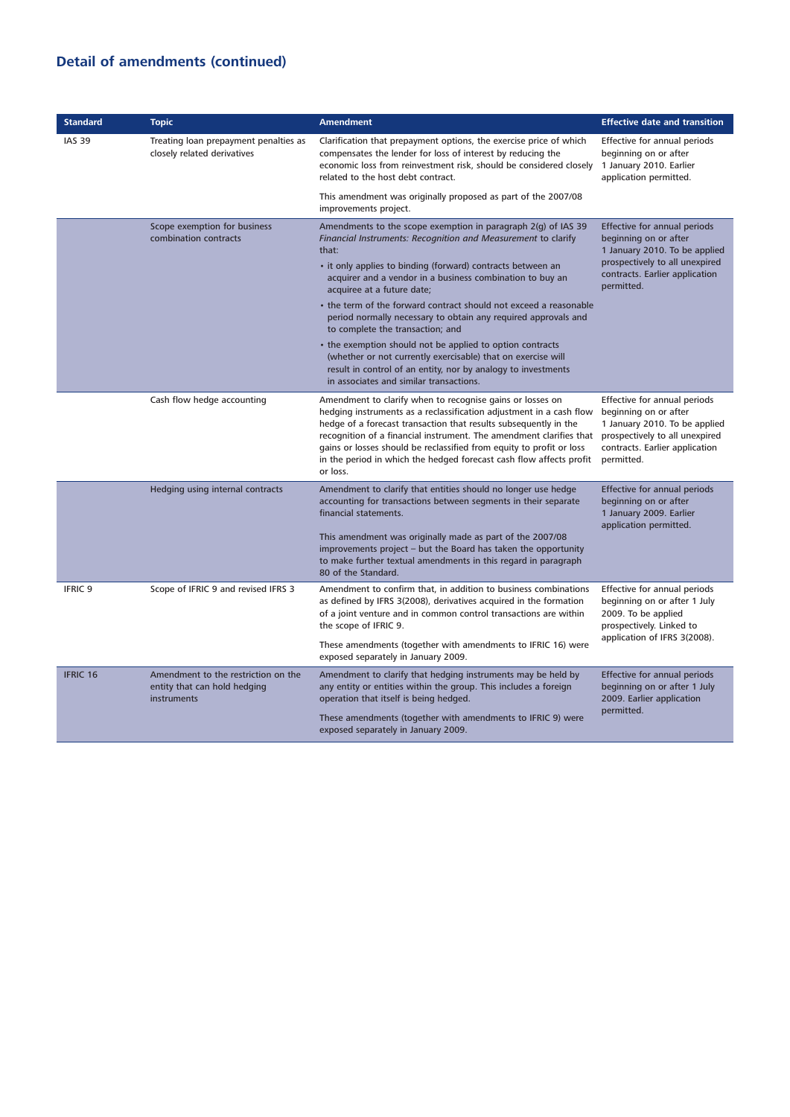## **Detail of amendments (continued)**

| <b>Standard</b> | <b>Topic</b>                                                                       | <b>Amendment</b>                                                                                                                                                                                                                                                                                                                                                                                                                       | <b>Effective date and transition</b>                                                                                                                                     |
|-----------------|------------------------------------------------------------------------------------|----------------------------------------------------------------------------------------------------------------------------------------------------------------------------------------------------------------------------------------------------------------------------------------------------------------------------------------------------------------------------------------------------------------------------------------|--------------------------------------------------------------------------------------------------------------------------------------------------------------------------|
| <b>IAS 39</b>   | Treating loan prepayment penalties as<br>closely related derivatives               | Clarification that prepayment options, the exercise price of which<br>compensates the lender for loss of interest by reducing the<br>economic loss from reinvestment risk, should be considered closely<br>related to the host debt contract.                                                                                                                                                                                          | Effective for annual periods<br>beginning on or after<br>1 January 2010. Earlier<br>application permitted.                                                               |
|                 |                                                                                    | This amendment was originally proposed as part of the 2007/08<br>improvements project.                                                                                                                                                                                                                                                                                                                                                 |                                                                                                                                                                          |
|                 | Scope exemption for business<br>combination contracts                              | Amendments to the scope exemption in paragraph 2(g) of IAS 39<br>Financial Instruments: Recognition and Measurement to clarify<br>that:                                                                                                                                                                                                                                                                                                | Effective for annual periods<br>beginning on or after<br>1 January 2010. To be applied<br>prospectively to all unexpired<br>contracts. Earlier application<br>permitted. |
|                 |                                                                                    | • it only applies to binding (forward) contracts between an<br>acquirer and a vendor in a business combination to buy an<br>acquiree at a future date;                                                                                                                                                                                                                                                                                 |                                                                                                                                                                          |
|                 |                                                                                    | • the term of the forward contract should not exceed a reasonable<br>period normally necessary to obtain any required approvals and<br>to complete the transaction; and                                                                                                                                                                                                                                                                |                                                                                                                                                                          |
|                 |                                                                                    | • the exemption should not be applied to option contracts<br>(whether or not currently exercisable) that on exercise will<br>result in control of an entity, nor by analogy to investments<br>in associates and similar transactions.                                                                                                                                                                                                  |                                                                                                                                                                          |
|                 | Cash flow hedge accounting                                                         | Amendment to clarify when to recognise gains or losses on<br>hedging instruments as a reclassification adjustment in a cash flow<br>hedge of a forecast transaction that results subsequently in the<br>recognition of a financial instrument. The amendment clarifies that<br>gains or losses should be reclassified from equity to profit or loss<br>in the period in which the hedged forecast cash flow affects profit<br>or loss. | Effective for annual periods<br>beginning on or after<br>1 January 2010. To be applied<br>prospectively to all unexpired<br>contracts. Earlier application<br>permitted. |
|                 | Hedging using internal contracts                                                   | Amendment to clarify that entities should no longer use hedge<br>accounting for transactions between segments in their separate<br>financial statements.                                                                                                                                                                                                                                                                               | <b>Effective for annual periods</b><br>beginning on or after<br>1 January 2009. Earlier<br>application permitted.                                                        |
|                 |                                                                                    | This amendment was originally made as part of the 2007/08<br>improvements project - but the Board has taken the opportunity<br>to make further textual amendments in this regard in paragraph<br>80 of the Standard.                                                                                                                                                                                                                   |                                                                                                                                                                          |
| <b>IFRIC 9</b>  | Scope of IFRIC 9 and revised IFRS 3                                                | Amendment to confirm that, in addition to business combinations<br>as defined by IFRS 3(2008), derivatives acquired in the formation<br>of a joint venture and in common control transactions are within<br>the scope of IFRIC 9.                                                                                                                                                                                                      | Effective for annual periods<br>beginning on or after 1 July<br>2009. To be applied<br>prospectively. Linked to<br>application of IFRS 3(2008).                          |
|                 |                                                                                    | These amendments (together with amendments to IFRIC 16) were<br>exposed separately in January 2009.                                                                                                                                                                                                                                                                                                                                    |                                                                                                                                                                          |
| <b>IFRIC 16</b> | Amendment to the restriction on the<br>entity that can hold hedging<br>instruments | Amendment to clarify that hedging instruments may be held by<br>any entity or entities within the group. This includes a foreign<br>operation that itself is being hedged.                                                                                                                                                                                                                                                             | Effective for annual periods<br>beginning on or after 1 July<br>2009. Earlier application<br>permitted.                                                                  |
|                 |                                                                                    | These amendments (together with amendments to IFRIC 9) were<br>exposed separately in January 2009.                                                                                                                                                                                                                                                                                                                                     |                                                                                                                                                                          |